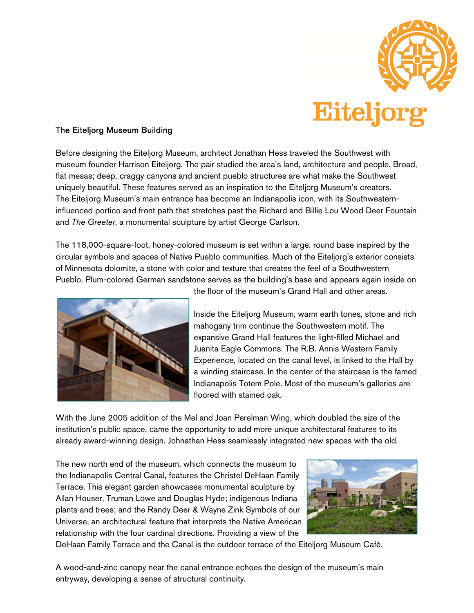

## The Eiteljorg Museum Building

Before designing the Eiteljorg Museum, architect Jonathan Hess traveled the Southwest with museum founder Harrison Eiteljorg. The pair studied the area's land, architecture and people. Broad, flat mesas; deep, craggy canyons and ancient pueblo structures are what make the Southwest uniquely beautiful. These features served as an inspiration to the Eiteljorg Museum's creators. The Eiteljorg Museum's main entrance has become an Indianapolis icon, with its Southwesterninfluenced portico and front path that stretches past the Richard and Billie Lou Wood Deer Fountain and The Greeter, a monumental sculpture by artist George Carlson.

The 118,000-square-foot, honey-colored museum is set within a large, round base inspired by the circular symbols and spaces of Native Pueblo communities. Much of the Eiteljorg's exterior consists of Minnesota dolomite, a stone with color and texture that creates the feel of a Southwestern Pueblo. Plum-colored German sandstone serves as the building's base and appears again inside on



the floor of the museum's Grand Hall and other areas.

Inside the Eiteljorg Museum, warm earth tones, stone and rich mahogany trim continue the Southwestern motif. The expansive Grand Hall features the light-filled Michael and Juanita Eagle Commons. The R.B. Annis Western Family Experience, located on the canal level, is linked to the Hall by a winding staircase. In the center of the staircase is the famed Indianapolis Totem Pole. Most of the museum's galleries are floored with stained oak.

With the June 2005 addition of the Mel and Joan Perelman Wing, which doubled the size of the institution's public space, came the opportunity to add more unique architectural features to its already award-winning design. Johnathan Hess seamlessly integrated new spaces with the old.

The new north end of the museum, which connects the museum to the Indianapolis Central Canal, features the Christel DeHaan Family Terrace. This elegant garden showcases monumental sculpture by Allan Houser, Truman Lowe and Douglas Hyde; indigenous Indiana plants and trees; and the Randy Deer & Wayne Zink Symbols of our Universe, an architectural feature that interprets the Native American relationship with the four cardinal directions. Providing a view of the



DeHaan Family Terrace and the Canal is the outdoor terrace of the Eiteljorg Museum Café.

A wood-and-zinc canopy near the canal entrance echoes the design of the museum's main entryway, developing a sense of structural continuity.